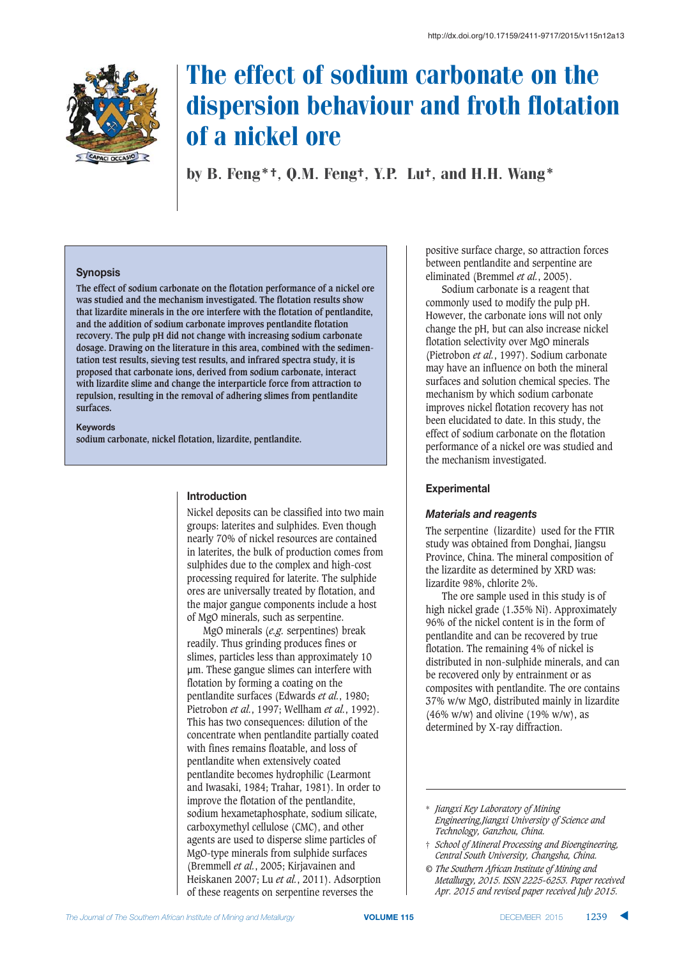

# The effect of sodium carbonate on the dispersion behaviour and froth flotation of a nickel ore

by B. Feng\*†, Q.M. Feng†, Y.P. Lu†, and H.H. Wang\*

### **Synopsis**

**The effect of sodium carbonate on the flotation performance of a nickel ore was studied and the mechanism investigated. The flotation results show that lizardite minerals in the ore interfere with the flotation of pentlandite, and the addition of sodium carbonate improves pentlandite flotation recovery. The pulp pH did not change with increasing sodium carbonate dosage. Drawing on the literature in this area, combined with the sedimentation test results, sieving test results, and infrared spectra study, it is proposed that carbonate ions, derived from sodium carbonate, interact with lizardite slime and change the interparticle force from attraction to repulsion, resulting in the removal of adhering slimes from pentlandite surfaces.**

#### **Keywords**

**sodium carbonate, nickel flotation, lizardite, pentlandite.**

## $Introduction$

Nickel deposits can be classified into two main groups: laterites and sulphides. Even though nearly 70% of nickel resources are contained in laterites, the bulk of production comes from sulphides due to the complex and high-cost processing required for laterite. The sulphide ores are universally treated by flotation, and the major gangue components include a host of MgO minerals, such as serpentine.

MgO minerals (*e.g.* serpentines) break readily. Thus grinding produces fines or slimes, particles less than approximately 10 µm. These gangue slimes can interfere with flotation by forming a coating on the pentlandite surfaces (Edwards *et al.*, 1980; Pietrobon *et al.*, 1997; Wellham *et al.*, 1992). This has two consequences: dilution of the concentrate when pentlandite partially coated with fines remains floatable, and loss of pentlandite when extensively coated pentlandite becomes hydrophilic (Learmont and Iwasaki, 1984; Trahar, 1981). In order to improve the flotation of the pentlandite, sodium hexametaphosphate, sodium silicate, carboxymethyl cellulose (CMC), and other agents are used to disperse slime particles of MgO-type minerals from sulphide surfaces (Bremmell *et al.*, 2005; Kirjavainen and Heiskanen 2007; Lu *et al.*, 2011). Adsorption of these reagents on serpentine reverses the

positive surface charge, so attraction forces between pentlandite and serpentine are eliminated (Bremmel *et al.*, 2005).

Sodium carbonate is a reagent that commonly used to modify the pulp pH. However, the carbonate ions will not only change the pH, but can also increase nickel flotation selectivity over MgO minerals (Pietrobon *et al.*, 1997). Sodium carbonate may have an influence on both the mineral surfaces and solution chemical species. The mechanism by which sodium carbonate improves nickel flotation recovery has not been elucidated to date. In this study, the effect of sodium carbonate on the flotation performance of a nickel ore was studied and the mechanism investigated.

## ${\bf Experimental}$

## *Materials and reagents*

The serpentine (lizardite) used for the FTIR study was obtained from Donghai, Jiangsu Province, China. The mineral composition of the lizardite as determined by XRD was: lizardite 98%, chlorite 2%.

The ore sample used in this study is of high nickel grade (1.35% Ni). Approximately 96% of the nickel content is in the form of pentlandite and can be recovered by true flotation. The remaining 4% of nickel is distributed in non-sulphide minerals, and can be recovered only by entrainment or as composites with pentlandite. The ore contains 37% w/w MgO, distributed mainly in lizardite  $(46\% \text{ w/w})$  and olivine  $(19\% \text{ w/w})$ , as determined by X-ray diffraction.

<sup>\*</sup> *Jiangxi Key Laboratory of Mining Engineering,Jiangxi University of Science and Technology, Ganzhou, China.*

<sup>†</sup> *School of Mineral Processing and Bioengineering, Central South University, Changsha, China.*

*<sup>©</sup> The Southern African Institute of Mining and Metallurgy, 2015. ISSN 2225-6253. Paper received Apr. 2015 and revised paper received July 2015.*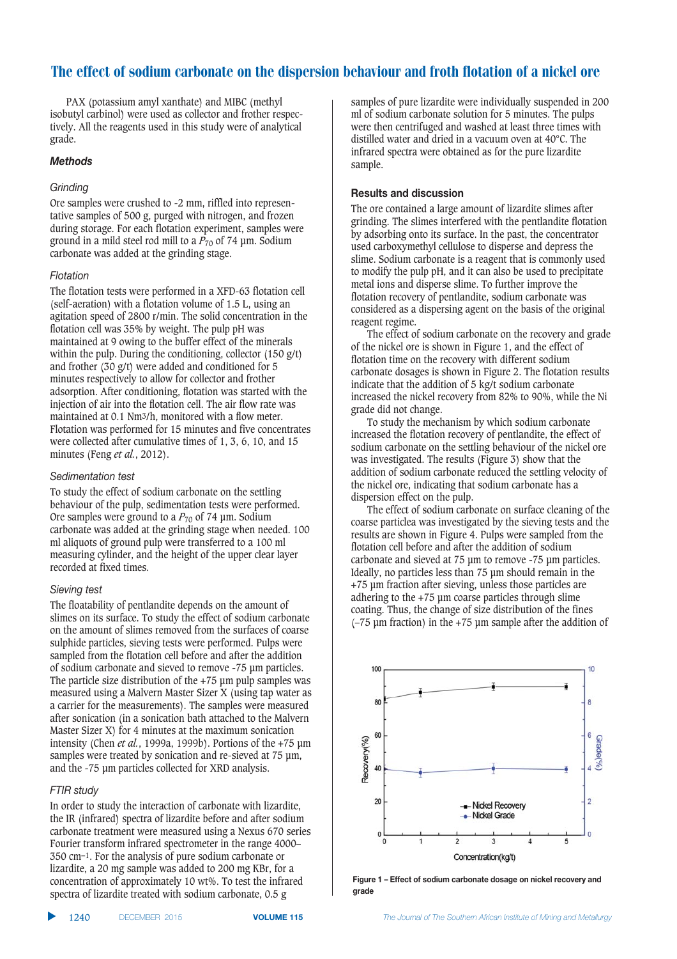# The effect of sodium carbonate on the dispersion behaviour and froth flotation of a nickel ore

PAX (potassium amyl xanthate) and MIBC (methyl isobutyl carbinol) were used as collector and frother respectively. All the reagents used in this study were of analytical grade.

#### <u>Methods</u>

#### Grinding

Ore samples were crushed to -2 mm, riffled into representative samples of 500 g, purged with nitrogen, and frozen during storage. For each flotation experiment, samples were ground in a mild steel rod mill to a *P*<sup>70</sup> of 74 μm. Sodium carbonate was added at the grinding stage.

#### **Flotation**

The flotation tests were performed in a XFD-63 flotation cell (self-aeration) with a flotation volume of 1.5 L, using an agitation speed of 2800 r/min. The solid concentration in the flotation cell was 35% by weight. The pulp pH was maintained at 9 owing to the buffer effect of the minerals within the pulp. During the conditioning, collector (150 g/t) and frother (30 g/t) were added and conditioned for 5 minutes respectively to allow for collector and frother adsorption. After conditioning, flotation was started with the injection of air into the flotation cell. The air flow rate was maintained at 0.1 Nm3/h, monitored with a flow meter. Flotation was performed for 15 minutes and five concentrates were collected after cumulative times of 1, 3, 6, 10, and 15 minutes (Feng *et al.*, 2012).

#### Sedimentation test

To study the effect of sodium carbonate on the settling behaviour of the pulp, sedimentation tests were performed. Ore samples were ground to a *P*<sup>70</sup> of 74 μm. Sodium carbonate was added at the grinding stage when needed. 100 ml aliquots of ground pulp were transferred to a 100 ml measuring cylinder, and the height of the upper clear layer recorded at fixed times.

#### Sieving test

The floatability of pentlandite depends on the amount of slimes on its surface. To study the effect of sodium carbonate on the amount of slimes removed from the surfaces of coarse sulphide particles, sieving tests were performed. Pulps were sampled from the flotation cell before and after the addition of sodium carbonate and sieved to remove -75 μm particles. The particle size distribution of the  $+75$  um pulp samples was measured using a Malvern Master Sizer X (using tap water as a carrier for the measurements). The samples were measured after sonication (in a sonication bath attached to the Malvern Master Sizer X) for 4 minutes at the maximum sonication intensity (Chen *et al.*, 1999a, 1999b). Portions of the +75 μm samples were treated by sonication and re-sieved at 75 μm, and the -75 μm particles collected for XRD analysis.

#### FTIR study

In order to study the interaction of carbonate with lizardite, the IR (infrared) spectra of lizardite before and after sodium carbonate treatment were measured using a Nexus 670 series Fourier transform infrared spectrometer in the range 4000– 350 cm−1. For the analysis of pure sodium carbonate or lizardite, a 20 mg sample was added to 200 mg KBr, for a concentration of approximately 10 wt%. To test the infrared spectra of lizardite treated with sodium carbonate, 0.5 g

samples of pure lizardite were individually suspended in 200 ml of sodium carbonate solution for 5 minutes. The pulps were then centrifuged and washed at least three times with distilled water and dried in a vacuum oven at 40°C. The infrared spectra were obtained as for the pure lizardite sample.

#### **Results and discussion**

The ore contained a large amount of lizardite slimes after grinding. The slimes interfered with the pentlandite flotation by adsorbing onto its surface. In the past, the concentrator used carboxymethyl cellulose to disperse and depress the slime. Sodium carbonate is a reagent that is commonly used to modify the pulp pH, and it can also be used to precipitate metal ions and disperse slime. To further improve the flotation recovery of pentlandite, sodium carbonate was considered as a dispersing agent on the basis of the original reagent regime.

The effect of sodium carbonate on the recovery and grade of the nickel ore is shown in Figure 1, and the effect of flotation time on the recovery with different sodium carbonate dosages is shown in Figure 2. The flotation results indicate that the addition of 5 kg/t sodium carbonate increased the nickel recovery from 82% to 90%, while the Ni grade did not change.

To study the mechanism by which sodium carbonate increased the flotation recovery of pentlandite, the effect of sodium carbonate on the settling behaviour of the nickel ore was investigated. The results (Figure 3) show that the addition of sodium carbonate reduced the settling velocity of the nickel ore, indicating that sodium carbonate has a dispersion effect on the pulp.

The effect of sodium carbonate on surface cleaning of the coarse particlea was investigated by the sieving tests and the results are shown in Figure 4. Pulps were sampled from the flotation cell before and after the addition of sodium carbonate and sieved at 75 μm to remove -75 μm particles. Ideally, no particles less than 75 μm should remain in the +75 μm fraction after sieving, unless those particles are adhering to the +75 μm coarse particles through slime coating. Thus, the change of size distribution of the fines (–75 μm fraction) in the +75 μm sample after the addition of



**!2&\*045% #,,4+/ 3, .3)2\*'5+-0"31-/45)3.-&4531 12+4( 04+340 -1)**  $grade$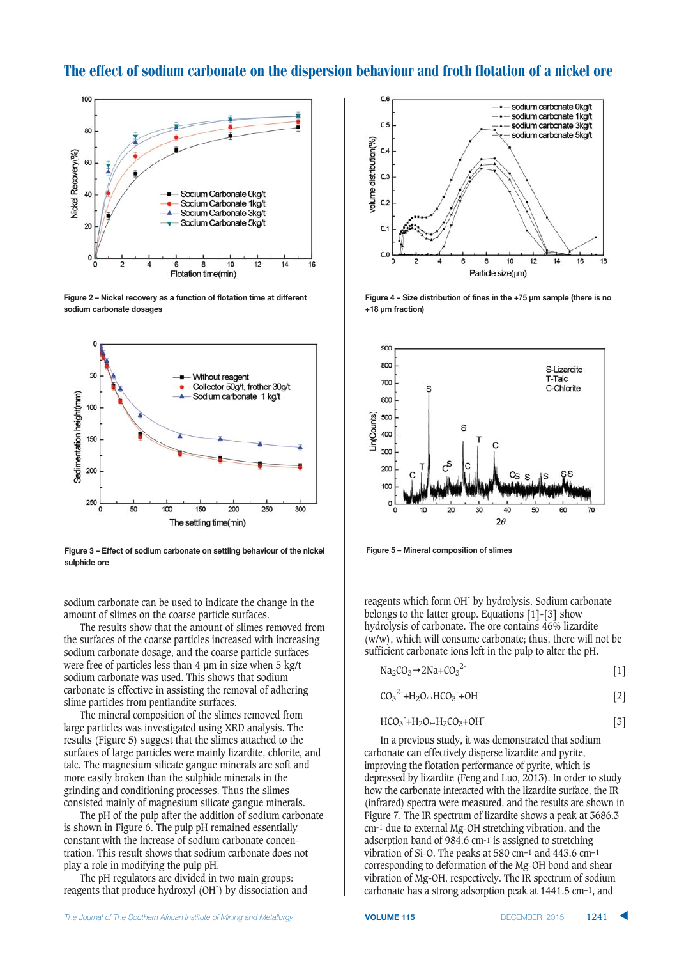# The effect of sodium carbonate on the dispersion behaviour and froth flotation of a nickel ore



Figure 2 – Nickel recovery as a function of flotation time at different  $$$ **sodium carbonate dosages** 



Figure 3 - Effect of sodium carbonate on settling behaviour of the nickel  $\frac{1}{2}$ **sulphide** ore

sodium carbonate can be used to indicate the change in the amount of slimes on the coarse particle surfaces.

The results show that the amount of slimes removed from the surfaces of the coarse particles increased with increasing sodium carbonate dosage, and the coarse particle surfaces were free of particles less than 4 μm in size when 5 kg/t sodium carbonate was used. This shows that sodium carbonate is effective in assisting the removal of adhering slime particles from pentlandite surfaces.

The mineral composition of the slimes removed from large particles was investigated using XRD analysis. The results (Figure 5) suggest that the slimes attached to the surfaces of large particles were mainly lizardite, chlorite, and talc. The magnesium silicate gangue minerals are soft and more easily broken than the sulphide minerals in the grinding and conditioning processes. Thus the slimes consisted mainly of magnesium silicate gangue minerals.

The pH of the pulp after the addition of sodium carbonate is shown in Figure 6. The pulp pH remained essentially constant with the increase of sodium carbonate concentration. This result shows that sodium carbonate does not play a role in modifying the pulp pH.

The pH regulators are divided in two main groups: reagents that produce hydroxyl (OH- ) by dissociation and



**2** Eigure 4 – Size distribution of fines in the +75 µm sample (there is no  $+18 \mu m$  fraction)



**12** Eigure 5 - Mineral composition of slimes

reagents which form OH- by hydrolysis. Sodium carbonate belongs to the latter group. Equations [1]-[3] show hydrolysis of carbonate. The ore contains 46% lizardite (w/w), which will consume carbonate; thus, there will not be sufficient carbonate ions left in the pulp to alter the pH.

$$
Na_2CO_3 \rightarrow 2Na + CO_3^{2-}
$$
 [1]

$$
CO32 + H2O→HCO3- + OH-
$$
 [2]

$$
HCO_3 + H_2O \rightarrow H_2CO_3 + OH^-
$$
 [3]

In a previous study, it was demonstrated that sodium carbonate can effectively disperse lizardite and pyrite, improving the flotation performance of pyrite, which is depressed by lizardite (Feng and Luo, 2013). In order to study how the carbonate interacted with the lizardite surface, the IR (infrared) spectra were measured, and the results are shown in Figure 7. The IR spectrum of lizardite shows a peak at 3686.3 cm-1 due to external Mg-OH stretching vibration, and the adsorption band of 984.6 cm-1 is assigned to stretching vibration of Si-O. The peaks at 580 cm−1 and 443.6 cm−1 corresponding to deformation of the Mg-OH bond and shear vibration of Mg-OH, respectively. The IR spectrum of sodium carbonate has a strong adsorption peak at 1441.5 cm−1, and